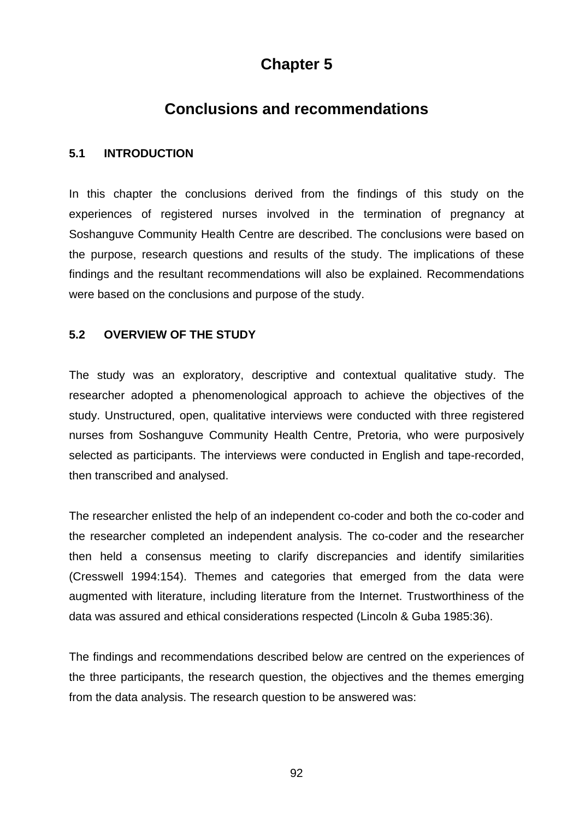# **Chapter 5**

## **Conclusions and recommendations**

## **5.1 INTRODUCTION**

In this chapter the conclusions derived from the findings of this study on the experiences of registered nurses involved in the termination of pregnancy at Soshanguve Community Health Centre are described. The conclusions were based on the purpose, research questions and results of the study. The implications of these findings and the resultant recommendations will also be explained. Recommendations were based on the conclusions and purpose of the study.

### **5.2 OVERVIEW OF THE STUDY**

The study was an exploratory, descriptive and contextual qualitative study. The researcher adopted a phenomenological approach to achieve the objectives of the study. Unstructured, open, qualitative interviews were conducted with three registered nurses from Soshanguve Community Health Centre, Pretoria, who were purposively selected as participants. The interviews were conducted in English and tape-recorded, then transcribed and analysed.

The researcher enlisted the help of an independent co-coder and both the co-coder and the researcher completed an independent analysis. The co-coder and the researcher then held a consensus meeting to clarify discrepancies and identify similarities (Cresswell 1994:154). Themes and categories that emerged from the data were augmented with literature, including literature from the Internet. Trustworthiness of the data was assured and ethical considerations respected (Lincoln & Guba 1985:36).

The findings and recommendations described below are centred on the experiences of the three participants, the research question, the objectives and the themes emerging from the data analysis. The research question to be answered was:

92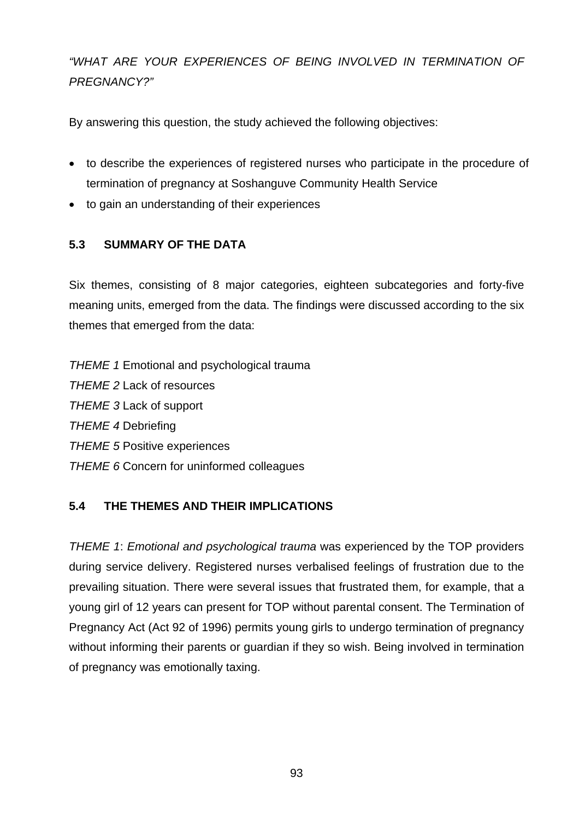*"WHAT ARE YOUR EXPERIENCES OF BEING INVOLVED IN TERMINATION OF PREGNANCY?"* 

By answering this question, the study achieved the following objectives:

- to describe the experiences of registered nurses who participate in the procedure of termination of pregnancy at Soshanguve Community Health Service
- to gain an understanding of their experiences

## **5.3 SUMMARY OF THE DATA**

Six themes, consisting of 8 major categories, eighteen subcategories and forty-five meaning units, emerged from the data. The findings were discussed according to the six themes that emerged from the data:

*THEME 1* Emotional and psychological trauma *THEME 2* Lack of resources *THEME 3* Lack of support *THEME 4* Debriefing *THEME 5* Positive experiences *THEME 6* Concern for uninformed colleagues

## **5.4 THE THEMES AND THEIR IMPLICATIONS**

*THEME 1*: *Emotional and psychological trauma* was experienced by the TOP providers during service delivery. Registered nurses verbalised feelings of frustration due to the prevailing situation. There were several issues that frustrated them, for example, that a young girl of 12 years can present for TOP without parental consent. The Termination of Pregnancy Act (Act 92 of 1996) permits young girls to undergo termination of pregnancy without informing their parents or guardian if they so wish. Being involved in termination of pregnancy was emotionally taxing.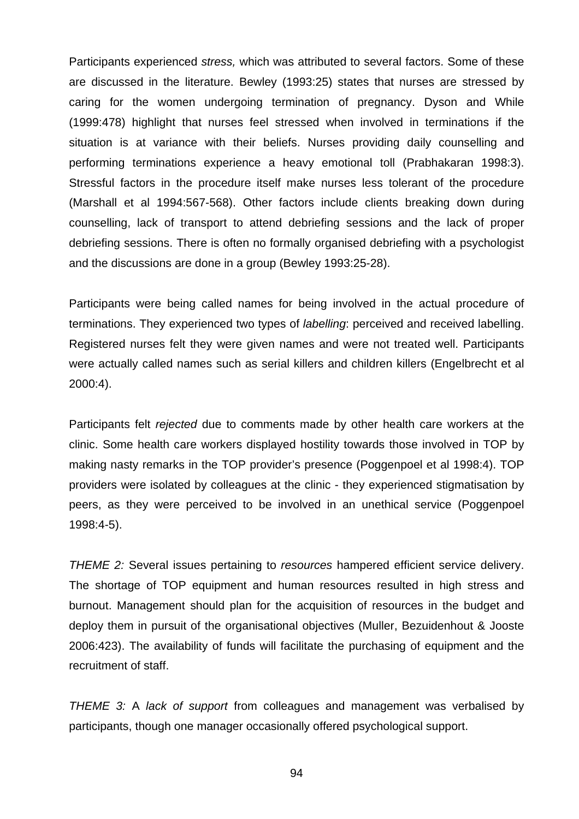Participants experienced *stress,* which was attributed to several factors. Some of these are discussed in the literature. Bewley (1993:25) states that nurses are stressed by caring for the women undergoing termination of pregnancy. Dyson and While (1999:478) highlight that nurses feel stressed when involved in terminations if the situation is at variance with their beliefs. Nurses providing daily counselling and performing terminations experience a heavy emotional toll (Prabhakaran 1998:3). Stressful factors in the procedure itself make nurses less tolerant of the procedure (Marshall et al 1994:567-568). Other factors include clients breaking down during counselling, lack of transport to attend debriefing sessions and the lack of proper debriefing sessions. There is often no formally organised debriefing with a psychologist and the discussions are done in a group (Bewley 1993:25-28).

Participants were being called names for being involved in the actual procedure of terminations. They experienced two types of *labelling*: perceived and received labelling. Registered nurses felt they were given names and were not treated well. Participants were actually called names such as serial killers and children killers (Engelbrecht et al 2000:4).

Participants felt *rejected* due to comments made by other health care workers at the clinic. Some health care workers displayed hostility towards those involved in TOP by making nasty remarks in the TOP provider's presence (Poggenpoel et al 1998:4). TOP providers were isolated by colleagues at the clinic - they experienced stigmatisation by peers, as they were perceived to be involved in an unethical service (Poggenpoel 1998:4-5).

*THEME 2:* Several issues pertaining to *resources* hampered efficient service delivery. The shortage of TOP equipment and human resources resulted in high stress and burnout. Management should plan for the acquisition of resources in the budget and deploy them in pursuit of the organisational objectives (Muller, Bezuidenhout & Jooste 2006:423). The availability of funds will facilitate the purchasing of equipment and the recruitment of staff.

*THEME 3:* A *lack of support* from colleagues and management was verbalised by participants, though one manager occasionally offered psychological support.

94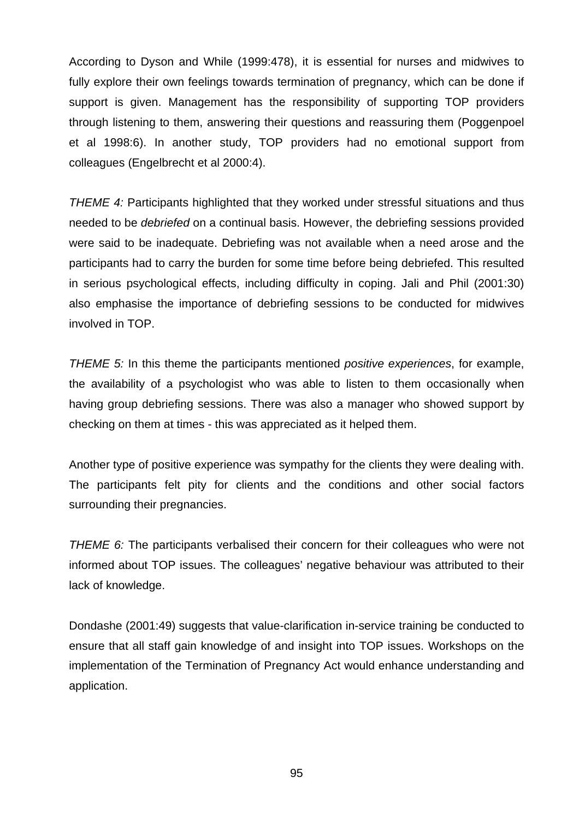According to Dyson and While (1999:478), it is essential for nurses and midwives to fully explore their own feelings towards termination of pregnancy, which can be done if support is given. Management has the responsibility of supporting TOP providers through listening to them, answering their questions and reassuring them (Poggenpoel et al 1998:6). In another study, TOP providers had no emotional support from colleagues (Engelbrecht et al 2000:4).

*THEME 4:* Participants highlighted that they worked under stressful situations and thus needed to be *debriefed* on a continual basis. However, the debriefing sessions provided were said to be inadequate. Debriefing was not available when a need arose and the participants had to carry the burden for some time before being debriefed. This resulted in serious psychological effects, including difficulty in coping. Jali and Phil (2001:30) also emphasise the importance of debriefing sessions to be conducted for midwives involved in TOP.

*THEME 5:* In this theme the participants mentioned *positive experiences*, for example, the availability of a psychologist who was able to listen to them occasionally when having group debriefing sessions. There was also a manager who showed support by checking on them at times - this was appreciated as it helped them.

Another type of positive experience was sympathy for the clients they were dealing with. The participants felt pity for clients and the conditions and other social factors surrounding their pregnancies.

*THEME 6:* The participants verbalised their concern for their colleagues who were not informed about TOP issues. The colleagues' negative behaviour was attributed to their lack of knowledge.

Dondashe (2001:49) suggests that value-clarification in-service training be conducted to ensure that all staff gain knowledge of and insight into TOP issues. Workshops on the implementation of the Termination of Pregnancy Act would enhance understanding and application.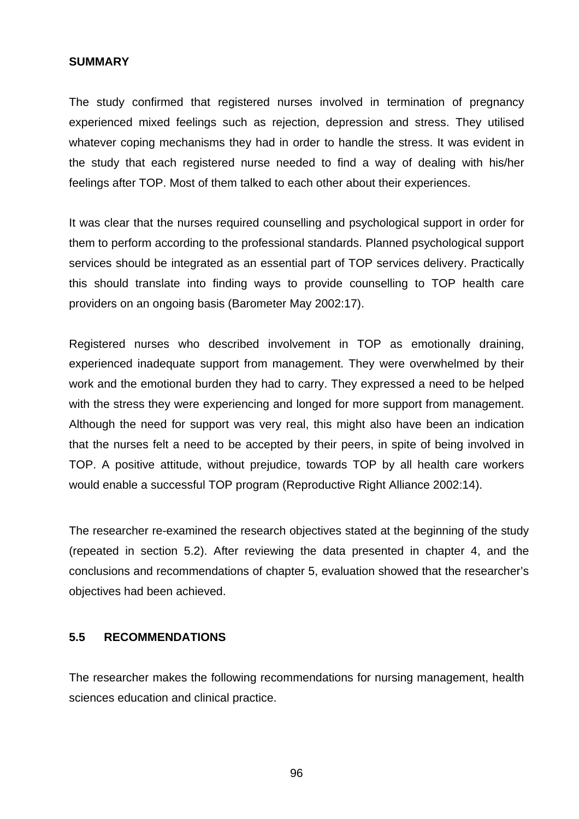#### **SUMMARY**

The study confirmed that registered nurses involved in termination of pregnancy experienced mixed feelings such as rejection, depression and stress. They utilised whatever coping mechanisms they had in order to handle the stress. It was evident in the study that each registered nurse needed to find a way of dealing with his/her feelings after TOP. Most of them talked to each other about their experiences.

It was clear that the nurses required counselling and psychological support in order for them to perform according to the professional standards. Planned psychological support services should be integrated as an essential part of TOP services delivery. Practically this should translate into finding ways to provide counselling to TOP health care providers on an ongoing basis (Barometer May 2002:17).

Registered nurses who described involvement in TOP as emotionally draining, experienced inadequate support from management. They were overwhelmed by their work and the emotional burden they had to carry. They expressed a need to be helped with the stress they were experiencing and longed for more support from management. Although the need for support was very real, this might also have been an indication that the nurses felt a need to be accepted by their peers, in spite of being involved in TOP. A positive attitude, without prejudice, towards TOP by all health care workers would enable a successful TOP program (Reproductive Right Alliance 2002:14).

The researcher re-examined the research objectives stated at the beginning of the study (repeated in section 5.2). After reviewing the data presented in chapter 4, and the conclusions and recommendations of chapter 5, evaluation showed that the researcher's objectives had been achieved.

#### **5.5 RECOMMENDATIONS**

The researcher makes the following recommendations for nursing management, health sciences education and clinical practice.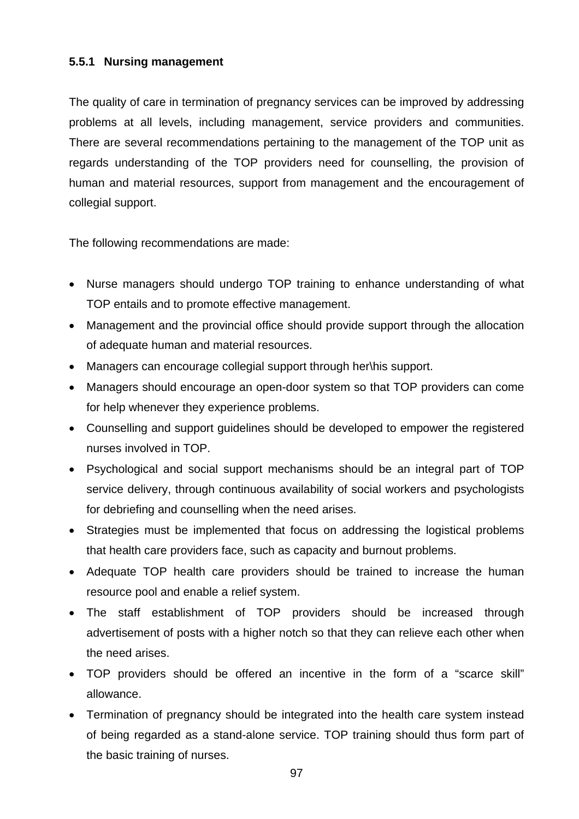#### **5.5.1 Nursing management**

The quality of care in termination of pregnancy services can be improved by addressing problems at all levels, including management, service providers and communities. There are several recommendations pertaining to the management of the TOP unit as regards understanding of the TOP providers need for counselling, the provision of human and material resources, support from management and the encouragement of collegial support.

The following recommendations are made:

- Nurse managers should undergo TOP training to enhance understanding of what TOP entails and to promote effective management.
- Management and the provincial office should provide support through the allocation of adequate human and material resources.
- Managers can encourage collegial support through her\his support.
- Managers should encourage an open-door system so that TOP providers can come for help whenever they experience problems.
- Counselling and support guidelines should be developed to empower the registered nurses involved in TOP.
- Psychological and social support mechanisms should be an integral part of TOP service delivery, through continuous availability of social workers and psychologists for debriefing and counselling when the need arises.
- Strategies must be implemented that focus on addressing the logistical problems that health care providers face, such as capacity and burnout problems.
- Adequate TOP health care providers should be trained to increase the human resource pool and enable a relief system.
- The staff establishment of TOP providers should be increased through advertisement of posts with a higher notch so that they can relieve each other when the need arises.
- TOP providers should be offered an incentive in the form of a "scarce skill" allowance.
- Termination of pregnancy should be integrated into the health care system instead of being regarded as a stand-alone service. TOP training should thus form part of the basic training of nurses.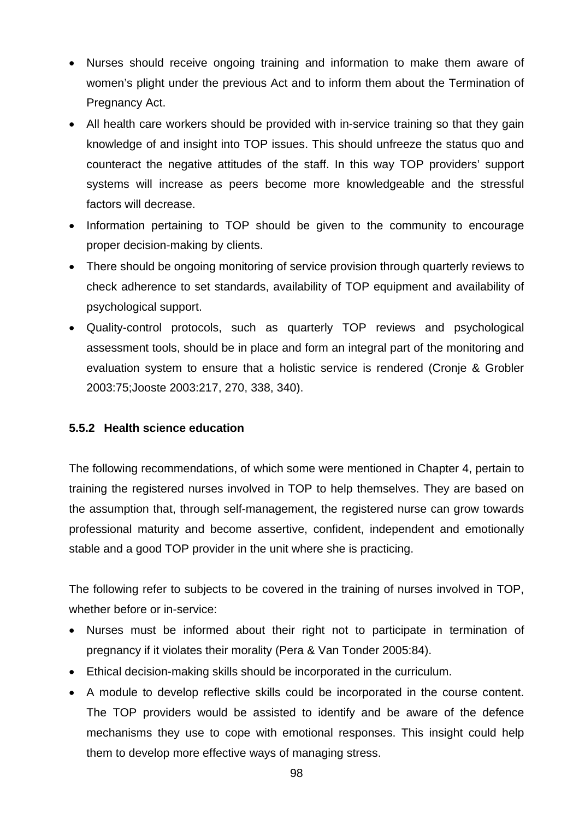- Nurses should receive ongoing training and information to make them aware of women's plight under the previous Act and to inform them about the Termination of Pregnancy Act.
- All health care workers should be provided with in-service training so that they gain knowledge of and insight into TOP issues. This should unfreeze the status quo and counteract the negative attitudes of the staff. In this way TOP providers' support systems will increase as peers become more knowledgeable and the stressful factors will decrease.
- Information pertaining to TOP should be given to the community to encourage proper decision-making by clients.
- There should be ongoing monitoring of service provision through quarterly reviews to check adherence to set standards, availability of TOP equipment and availability of psychological support.
- Quality-control protocols, such as quarterly TOP reviews and psychological assessment tools, should be in place and form an integral part of the monitoring and evaluation system to ensure that a holistic service is rendered (Cronje & Grobler 2003:75;Jooste 2003:217, 270, 338, 340).

### **5.5.2 Health science education**

The following recommendations, of which some were mentioned in Chapter 4, pertain to training the registered nurses involved in TOP to help themselves. They are based on the assumption that, through self-management, the registered nurse can grow towards professional maturity and become assertive, confident, independent and emotionally stable and a good TOP provider in the unit where she is practicing.

The following refer to subjects to be covered in the training of nurses involved in TOP, whether before or in-service:

- Nurses must be informed about their right not to participate in termination of pregnancy if it violates their morality (Pera & Van Tonder 2005:84).
- Ethical decision-making skills should be incorporated in the curriculum.
- A module to develop reflective skills could be incorporated in the course content. The TOP providers would be assisted to identify and be aware of the defence mechanisms they use to cope with emotional responses. This insight could help them to develop more effective ways of managing stress.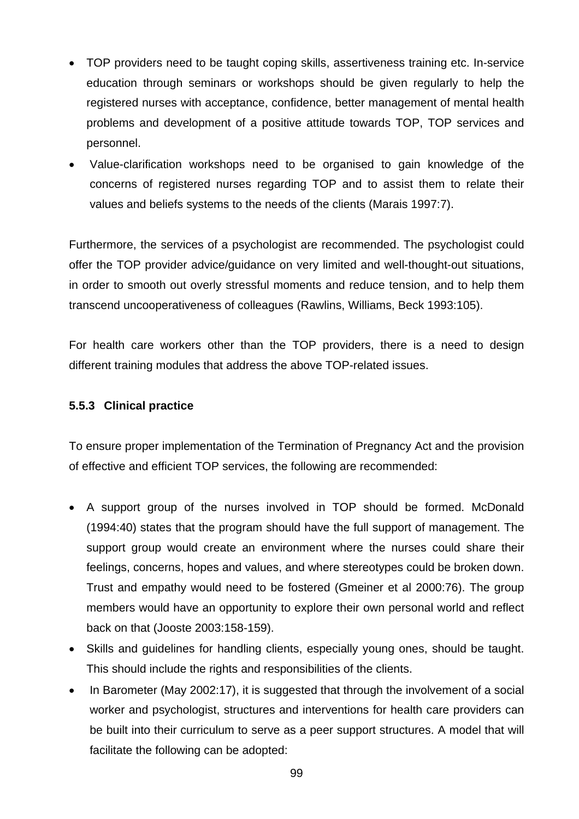- TOP providers need to be taught coping skills, assertiveness training etc. In-service education through seminars or workshops should be given regularly to help the registered nurses with acceptance, confidence, better management of mental health problems and development of a positive attitude towards TOP, TOP services and personnel.
- Value-clarification workshops need to be organised to gain knowledge of the concerns of registered nurses regarding TOP and to assist them to relate their values and beliefs systems to the needs of the clients (Marais 1997:7).

Furthermore, the services of a psychologist are recommended. The psychologist could offer the TOP provider advice/guidance on very limited and well-thought-out situations, in order to smooth out overly stressful moments and reduce tension, and to help them transcend uncooperativeness of colleagues (Rawlins, Williams, Beck 1993:105).

For health care workers other than the TOP providers, there is a need to design different training modules that address the above TOP-related issues.

### **5.5.3 Clinical practice**

To ensure proper implementation of the Termination of Pregnancy Act and the provision of effective and efficient TOP services, the following are recommended:

- A support group of the nurses involved in TOP should be formed. McDonald (1994:40) states that the program should have the full support of management. The support group would create an environment where the nurses could share their feelings, concerns, hopes and values, and where stereotypes could be broken down. Trust and empathy would need to be fostered (Gmeiner et al 2000:76). The group members would have an opportunity to explore their own personal world and reflect back on that (Jooste 2003:158-159).
- Skills and guidelines for handling clients, especially young ones, should be taught. This should include the rights and responsibilities of the clients.
- In Barometer (May 2002:17), it is suggested that through the involvement of a social worker and psychologist, structures and interventions for health care providers can be built into their curriculum to serve as a peer support structures. A model that will facilitate the following can be adopted: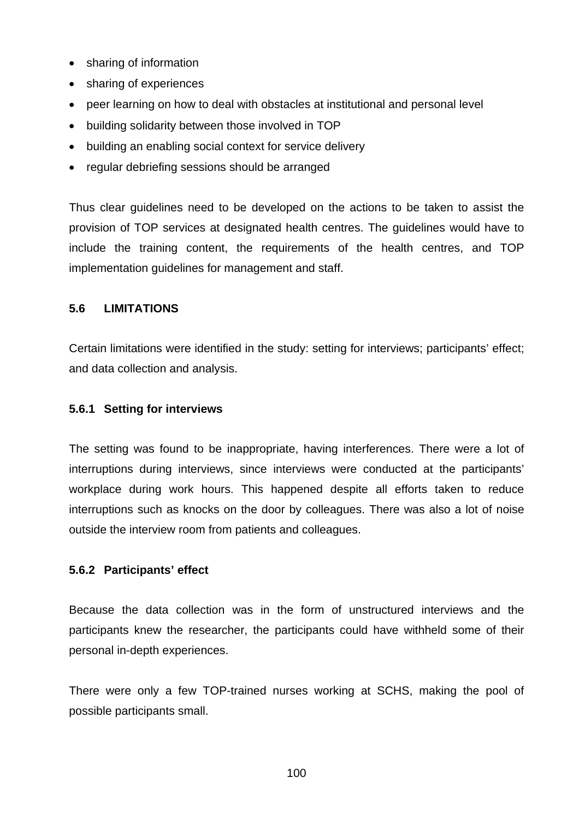- sharing of information
- sharing of experiences
- peer learning on how to deal with obstacles at institutional and personal level
- building solidarity between those involved in TOP
- building an enabling social context for service delivery
- regular debriefing sessions should be arranged

Thus clear guidelines need to be developed on the actions to be taken to assist the provision of TOP services at designated health centres. The guidelines would have to include the training content, the requirements of the health centres, and TOP implementation guidelines for management and staff.

#### **5.6 LIMITATIONS**

Certain limitations were identified in the study: setting for interviews; participants' effect; and data collection and analysis.

#### **5.6.1 Setting for interviews**

The setting was found to be inappropriate, having interferences. There were a lot of interruptions during interviews, since interviews were conducted at the participants' workplace during work hours. This happened despite all efforts taken to reduce interruptions such as knocks on the door by colleagues. There was also a lot of noise outside the interview room from patients and colleagues.

#### **5.6.2 Participants' effect**

Because the data collection was in the form of unstructured interviews and the participants knew the researcher, the participants could have withheld some of their personal in-depth experiences.

There were only a few TOP-trained nurses working at SCHS, making the pool of possible participants small.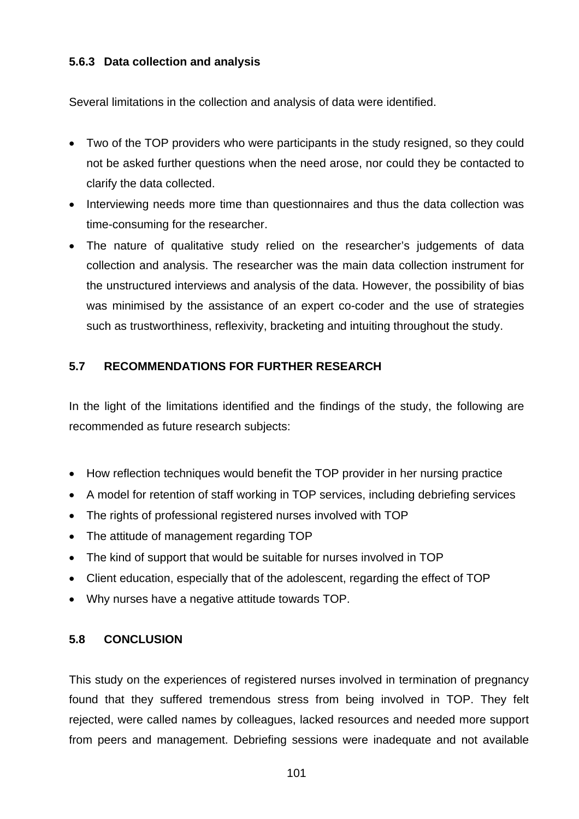## **5.6.3 Data collection and analysis**

Several limitations in the collection and analysis of data were identified.

- Two of the TOP providers who were participants in the study resigned, so they could not be asked further questions when the need arose, nor could they be contacted to clarify the data collected.
- Interviewing needs more time than questionnaires and thus the data collection was time-consuming for the researcher.
- The nature of qualitative study relied on the researcher's judgements of data collection and analysis. The researcher was the main data collection instrument for the unstructured interviews and analysis of the data. However, the possibility of bias was minimised by the assistance of an expert co-coder and the use of strategies such as trustworthiness, reflexivity, bracketing and intuiting throughout the study.

## **5.7 RECOMMENDATIONS FOR FURTHER RESEARCH**

In the light of the limitations identified and the findings of the study, the following are recommended as future research subjects:

- How reflection techniques would benefit the TOP provider in her nursing practice
- A model for retention of staff working in TOP services, including debriefing services
- The rights of professional registered nurses involved with TOP
- The attitude of management regarding TOP
- The kind of support that would be suitable for nurses involved in TOP
- Client education, especially that of the adolescent, regarding the effect of TOP
- Why nurses have a negative attitude towards TOP.

### **5.8 CONCLUSION**

This study on the experiences of registered nurses involved in termination of pregnancy found that they suffered tremendous stress from being involved in TOP. They felt rejected, were called names by colleagues, lacked resources and needed more support from peers and management. Debriefing sessions were inadequate and not available